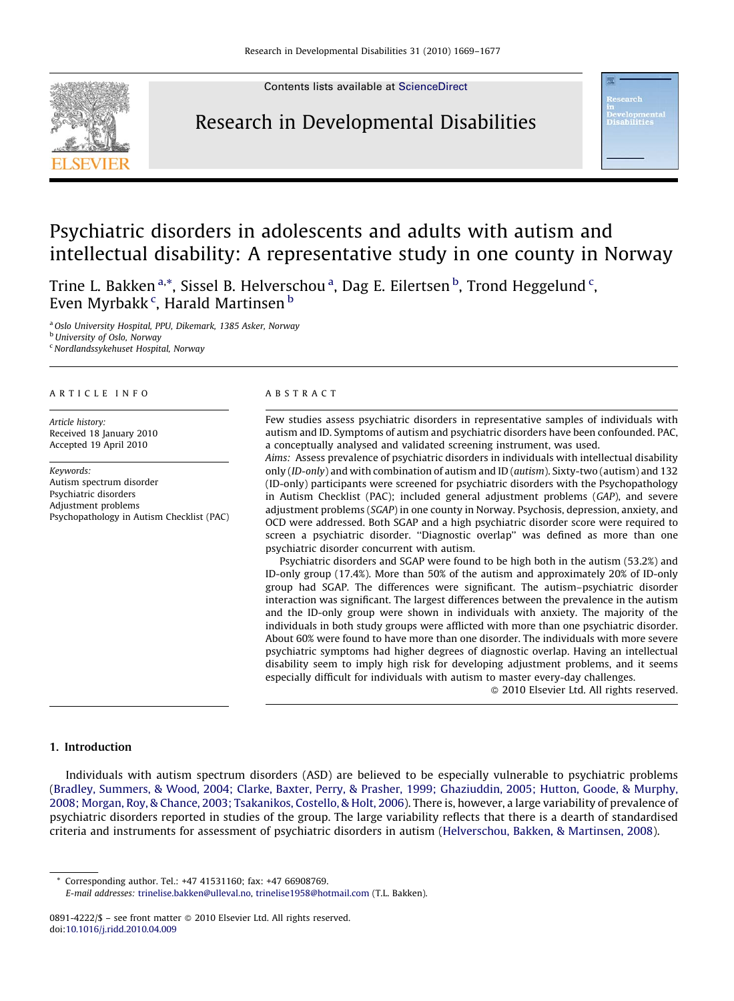Contents lists available at [ScienceDirect](http://www.sciencedirect.com/science/journal/08914222)

### Research in Developmental Disabilities

## Psychiatric disorders in adolescents and adults with autism and intellectual disability: A representative study in one county in Norway

Trine L. Bakken <sup>a,\*</sup>, Sissel B. Helverschou <sup>a</sup>, Dag E. Eilertsen <sup>b</sup>, Trond Heggelund <sup>c</sup>, Even Myrbakk¢, Harald Martinsen <sup>b</sup>

<sup>a</sup> Oslo University Hospital, PPU, Dikemark, 1385 Asker, Norway

**b** University of Oslo, Norway

 $c$  Nordlandssykehuset Hospital, Norway

#### ARTICLE INFO

Article history: Received 18 January 2010 Accepted 19 April 2010

Keywords: Autism spectrum disorder Psychiatric disorders Adjustment problems Psychopathology in Autism Checklist (PAC)

#### ABSTRACT

Few studies assess psychiatric disorders in representative samples of individuals with autism and ID. Symptoms of autism and psychiatric disorders have been confounded. PAC, a conceptually analysed and validated screening instrument, was used.

Aims: Assess prevalence of psychiatric disorders in individuals with intellectual disability only (ID-only) and with combination of autism and ID (autism). Sixty-two (autism) and 132 (ID-only) participants were screened for psychiatric disorders with the Psychopathology in Autism Checklist (PAC); included general adjustment problems (GAP), and severe adjustment problems (SGAP) in one county in Norway. Psychosis, depression, anxiety, and OCD were addressed. Both SGAP and a high psychiatric disorder score were required to screen a psychiatric disorder. ''Diagnostic overlap'' was defined as more than one psychiatric disorder concurrent with autism.

Psychiatric disorders and SGAP were found to be high both in the autism (53.2%) and ID-only group (17.4%). More than 50% of the autism and approximately 20% of ID-only group had SGAP. The differences were significant. The autism–psychiatric disorder interaction was significant. The largest differences between the prevalence in the autism and the ID-only group were shown in individuals with anxiety. The majority of the individuals in both study groups were afflicted with more than one psychiatric disorder. About 60% were found to have more than one disorder. The individuals with more severe psychiatric symptoms had higher degrees of diagnostic overlap. Having an intellectual disability seem to imply high risk for developing adjustment problems, and it seems especially difficult for individuals with autism to master every-day challenges.

- 2010 Elsevier Ltd. All rights reserved.

### 1. Introduction

Individuals with autism spectrum disorders (ASD) are believed to be especially vulnerable to psychiatric problems ([Bradley, Summers, & Wood, 2004; Clarke, Baxter, Perry, & Prasher, 1999; Ghaziuddin, 2005; Hutton, Goode, & Murphy,](#page--1-0) [2008; Morgan, Roy, & Chance, 2003; Tsakanikos, Costello, & Holt, 2006\)](#page--1-0). There is, however, a large variability of prevalence of psychiatric disorders reported in studies of the group. The large variability reflects that there is a dearth of standardised criteria and instruments for assessment of psychiatric disorders in autism ([Helverschou, Bakken, & Martinsen, 2008\)](#page--1-0).

Corresponding author. Tel.: +47 41531160; fax: +47 66908769.

E-mail addresses: [trinelise.bakken@ulleval.no](mailto:trinelise.bakken@ulleval.no), [trinelise1958@hotmail.com](mailto:trinelise1958@hotmail.com) (T.L. Bakken).

<sup>0891-4222/\$ –</sup> see front matter © 2010 Elsevier Ltd. All rights reserved. doi:[10.1016/j.ridd.2010.04.009](http://dx.doi.org/10.1016/j.ridd.2010.04.009)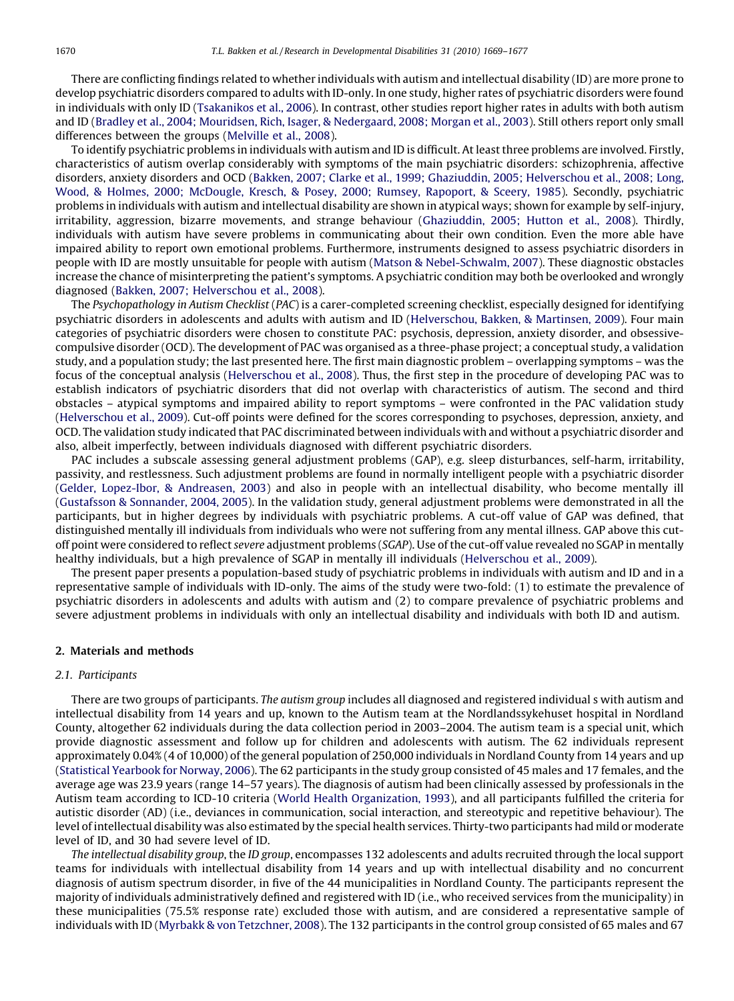There are conflicting findings related to whether individuals with autism and intellectual disability (ID) are more prone to develop psychiatric disorders compared to adults with ID-only. In one study, higher rates of psychiatric disorders were found in individuals with only ID [\(Tsakanikos et al., 2006](#page--1-0)). In contrast, other studies report higher rates in adults with both autism and ID ([Bradley et al., 2004; Mouridsen, Rich, Isager, & Nedergaard, 2008; Morgan et al., 2003](#page--1-0)). Still others report only small differences between the groups ([Melville et al., 2008](#page--1-0)).

To identify psychiatric problems in individuals with autism and ID is difficult. At least three problems are involved. Firstly, characteristics of autism overlap considerably with symptoms of the main psychiatric disorders: schizophrenia, affective disorders, anxiety disorders and OCD ([Bakken, 2007; Clarke et al., 1999; Ghaziuddin, 2005; Helverschou et al., 2008; Long,](#page--1-0) [Wood, & Holmes, 2000; McDougle, Kresch, & Posey, 2000; Rumsey, Rapoport, & Sceery, 1985](#page--1-0)). Secondly, psychiatric problems in individuals with autism and intellectual disability are shown in atypical ways; shown for example by self-injury, irritability, aggression, bizarre movements, and strange behaviour ([Ghaziuddin, 2005; Hutton et al., 2008\)](#page--1-0). Thirdly, individuals with autism have severe problems in communicating about their own condition. Even the more able have impaired ability to report own emotional problems. Furthermore, instruments designed to assess psychiatric disorders in people with ID are mostly unsuitable for people with autism [\(Matson & Nebel-Schwalm, 2007](#page--1-0)). These diagnostic obstacles increase the chance of misinterpreting the patient's symptoms. A psychiatric condition may both be overlooked and wrongly diagnosed ([Bakken, 2007; Helverschou et al., 2008](#page--1-0)).

The Psychopathology in Autism Checklist (PAC) is a carer-completed screening checklist, especially designed for identifying psychiatric disorders in adolescents and adults with autism and ID ([Helverschou, Bakken, & Martinsen, 2009](#page--1-0)). Four main categories of psychiatric disorders were chosen to constitute PAC: psychosis, depression, anxiety disorder, and obsessivecompulsive disorder (OCD). The development of PAC was organised as a three-phase project; a conceptual study, a validation study, and a population study; the last presented here. The first main diagnostic problem – overlapping symptoms – was the focus of the conceptual analysis [\(Helverschou et al., 2008\)](#page--1-0). Thus, the first step in the procedure of developing PAC was to establish indicators of psychiatric disorders that did not overlap with characteristics of autism. The second and third obstacles – atypical symptoms and impaired ability to report symptoms – were confronted in the PAC validation study [\(Helverschou et al., 2009](#page--1-0)). Cut-off points were defined for the scores corresponding to psychoses, depression, anxiety, and OCD. The validation study indicated that PAC discriminated between individuals with and without a psychiatric disorder and also, albeit imperfectly, between individuals diagnosed with different psychiatric disorders.

PAC includes a subscale assessing general adjustment problems (GAP), e.g. sleep disturbances, self-harm, irritability, passivity, and restlessness. Such adjustment problems are found in normally intelligent people with a psychiatric disorder [\(Gelder, Lopez-Ibor, & Andreasen, 2003\)](#page--1-0) and also in people with an intellectual disability, who become mentally ill [\(Gustafsson & Sonnander, 2004, 2005\)](#page--1-0). In the validation study, general adjustment problems were demonstrated in all the participants, but in higher degrees by individuals with psychiatric problems. A cut-off value of GAP was defined, that distinguished mentally ill individuals from individuals who were not suffering from any mental illness. GAP above this cutoff point were considered to reflect severe adjustment problems (SGAP). Use of the cut-off value revealed no SGAP in mentally healthy individuals, but a high prevalence of SGAP in mentally ill individuals [\(Helverschou et al., 2009](#page--1-0)).

The present paper presents a population-based study of psychiatric problems in individuals with autism and ID and in a representative sample of individuals with ID-only. The aims of the study were two-fold: (1) to estimate the prevalence of psychiatric disorders in adolescents and adults with autism and (2) to compare prevalence of psychiatric problems and severe adjustment problems in individuals with only an intellectual disability and individuals with both ID and autism.

#### 2. Materials and methods

#### 2.1. Participants

There are two groups of participants. The autism group includes all diagnosed and registered individual s with autism and intellectual disability from 14 years and up, known to the Autism team at the Nordlandssykehuset hospital in Nordland County, altogether 62 individuals during the data collection period in 2003–2004. The autism team is a special unit, which provide diagnostic assessment and follow up for children and adolescents with autism. The 62 individuals represent approximately 0.04% (4 of 10,000) of the general population of 250,000 individuals in Nordland County from 14 years and up [\(Statistical Yearbook for Norway, 2006\)](#page--1-0). The 62 participants in the study group consisted of 45 males and 17 females, and the average age was 23.9 years (range 14–57 years). The diagnosis of autism had been clinically assessed by professionals in the Autism team according to ICD-10 criteria [\(World Health Organization, 1993](#page--1-0)), and all participants fulfilled the criteria for autistic disorder (AD) (i.e., deviances in communication, social interaction, and stereotypic and repetitive behaviour). The level of intellectual disability was also estimated by the special health services. Thirty-two participants had mild or moderate level of ID, and 30 had severe level of ID.

The intellectual disability group, the ID group, encompasses 132 adolescents and adults recruited through the local support teams for individuals with intellectual disability from 14 years and up with intellectual disability and no concurrent diagnosis of autism spectrum disorder, in five of the 44 municipalities in Nordland County. The participants represent the majority of individuals administratively defined and registered with ID (i.e., who received services from the municipality) in these municipalities (75.5% response rate) excluded those with autism, and are considered a representative sample of individuals with ID ([Myrbakk & von Tetzchner, 2008](#page--1-0)). The 132 participants in the control group consisted of 65 males and 67